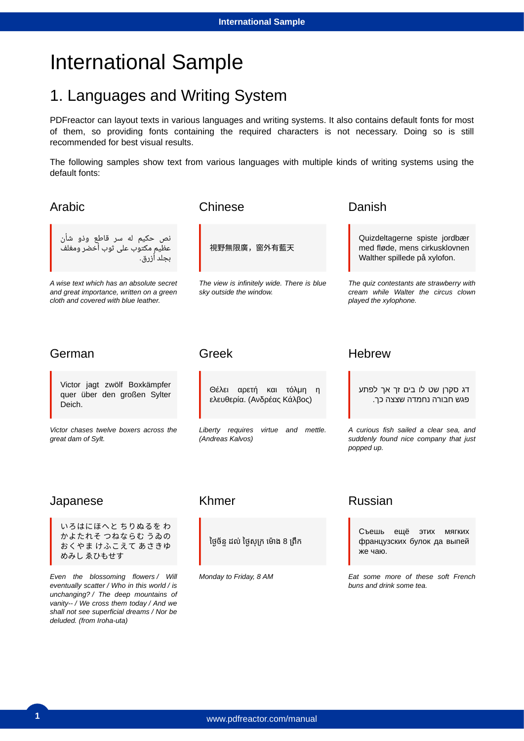# International Sample

## 1. Languages and Writing System

PDFreactor can layout texts in various languages and writing systems. It also contains default fonts for most of them, so providing fonts containing the required characters is not necessary. Doing so is still recommended for best visual results.

The following samples show text from various languages with multiple kinds of writing systems using the default fonts:

| Arabic                                                                                                                       | Chinese                                                               | Danish                                                                                                   |  |
|------------------------------------------------------------------------------------------------------------------------------|-----------------------------------------------------------------------|----------------------------------------------------------------------------------------------------------|--|
| نص حکیم له سر قاطع وذو شأن<br>عظیمِ مکتوب علی ثوب أخضر ومغلف<br>بجلد أزرق.                                                   | 視野無限廣,窗外有藍天                                                           | Quizdeltagerne spiste jordbær<br>med fløde, mens cirkusklovnen<br>Walther spillede på xylofon.           |  |
| A wise text which has an absolute secret<br>and great importance, written on a green<br>cloth and covered with blue leather. | The view is infinitely wide. There is blue<br>sky outside the window. | The quiz contestants ate strawberry with<br>cream while Walter the circus clown<br>played the xylophone. |  |
| German                                                                                                                       | Greek                                                                 | <b>Hebrew</b>                                                                                            |  |
| Victor jagt zwölf Boxkämpfer<br>quer über den großen Sylter<br>Deich.                                                        | Θέλει αρετή και τόλμη η<br>ελευθερία. (Ανδρέας Κάλβος)                | דג סקרן שט לו בים זך אך לפתע<br>פגש חבורה נחמדה שצצה כך.                                                 |  |
| Victor chases twelve boxers across the<br>great dam of Sylt.                                                                 | Liberty requires<br>virtue and mettle.<br>(Andreas Kalvos)            | A curious fish sailed a clear sea, and<br>suddenly found nice company that just<br>popped up.            |  |
| Japanese                                                                                                                     | Khmer                                                                 | <b>Russian</b>                                                                                           |  |
| いろはにほへと ちりぬるをわ<br>かよたれそ つねならむ うゐの<br>おくやま けふこえて あさきゆ<br>めみし ゑひもせす                                                            | ថ្ងៃច័ន្ទ ដល់ ថ្ងៃសុក្រ ម៉ោង 8 ព្រឹក                                  | Съешь<br>ещё этих мягких<br>французских булок да выпей<br>же чаю.                                        |  |
| Even the blossoming flowers / Will<br>eventually scatter / Who in this world / is<br>unchanging? / The deep mountains of     | Monday to Friday, 8 AM                                                | Eat some more of these soft French<br>buns and drink some tea.                                           |  |

*vanity-- / We cross them today / And we shall not see superficial dreams / Nor be* 

*deluded. (from Iroha-uta)*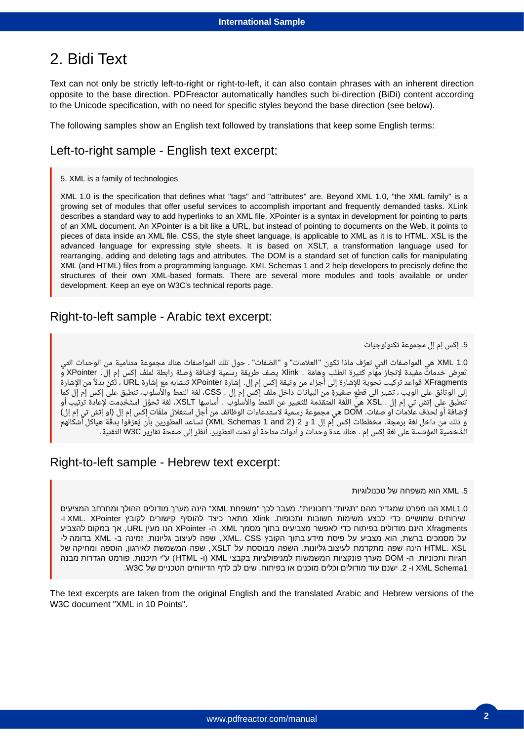## 2. Bidi Text

Text can not only be strictly left-to-right or right-to-left, it can also contain phrases with an inherent direction opposite to the base direction. PDFreactor automatically handles such bi-direction (BiDi) content according to the Unicode specification, with no need for specific styles beyond the base direction (see below).

The following samples show an English text followed by translations that keep some English terms:

## Left-to-right sample - English text excerpt:

5. XML is a family of technologies

XML 1.0 is the specification that defines what "tags" and "attributes" are. Beyond XML 1.0, "the XML family" is a growing set of modules that offer useful services to accomplish important and frequently demanded tasks. XLink describes a standard way to add hyperlinks to an XML file. XPointer is a syntax in development for pointing to parts of an XML document. An XPointer is a bit like a URL, but instead of pointing to documents on the Web, it points to pieces of data inside an XML file. CSS, the style sheet language, is applicable to XML as it is to HTML. XSL is the advanced language for expressing style sheets. It is based on XSLT, a transformation language used for rearranging, adding and deleting tags and attributes. The DOM is a standard set of function calls for manipulating XML (and HTML) files from a programming language. XML Schemas 1 and 2 help developers to precisely define the structures of their own XML-based formats. There are several more modules and tools available or under development. Keep an eye on W3C's technical reports page.

### Right-to-left sample - Arabic text excerpt:

### 5. إكس إم إل مجموعة تكنولوجيّات

1.0 XML هى المواصفات التى تعرَّف ماذا تكون "العلامات" و "الصّفات" . حول تلك المواصفات هناك مجموعة متنامية من الوحدات التى تَعرِض خدماتٌ مفيدة لإنجاز مهام كثيرة الطلب وهامّة . Xlink يصف طريقة رسمية لإضافة وُصلة رابطة لملفّ إكس إم إل. XPointer وّ XFragments قواعد تركيب نحوية للإشارة إلى أجزاء من وثيقة إكس إم إل. إشارة XPointer تتشابه مع إشارة URL ، لكنّ بدلاً من الإشارة إلى الوثائق على الويب ، تشير الى قطعٍ صغيرةٍ من البيانات داخل ملفّ إكس إم إل . CSS، لغة النمط والأسلوب، تنطبق على إكس إم إل كما<br>يبلغ سعا بي سعود بين المكلات عليه النوّ المقبّرة الكسائول الأولى الثّار والثّار المقبّرة والم تنطبق عِلى إتش تي إم إل . XSL هيّ اللّغة المتقدّمة للتّعبير عن النّمط والأسلوب . أساسِها XSLT، لغة تَحوُّل استُخْدِمت لإعادة ترتيب أو لإضافة أو لحذف علامات او صفات. DOM هي مجموعة رسمية لاستدعاءات الوظائف من أجل استغلال ملفّات إكس إم إل (او إتش تي إم إل) و ذلك من داخل لغة برمجة. مخطّطات إكس إم إل 1 و 2 xML Schemas 1 and 2) تساعد المطورين بأن يُعرِّفوا بدقَّة هياكل أشكالهم الشّخصية المؤسّسة على لغة إكس إم . هناك عدة وحدات و أدوات متاحة أو تحت التطوير. أنظر إلى صفحة تقارير W3C التّقنية.

## Right-to-left sample - Hebrew text excerpt:

#### 5. XML הוא משפחה של טכנולוגיות

1.0XML הנו מפרט שמגדיר מהם "תגיות" ו"תכוניות". מעבר לכך "משפחת XML" הינה מערך מודולים ההולך ומתרחב המציעים םיתוריש םיישומש ידכ עצבל תומישמ תובושח .תופוכתו Xlink ראתמ דציכ ףיסוהל םירושיק ץבוקל XPointer .XML -ו Xfragments הינם מודולים בפיתוח כדי לאפשר מצביעים בתוך מסמך XML. ה- XPointer הנו מעין URL, אך במקום להצביע על מסמכים ברשת, הוא מצביע על פיסת מידע בתוך הקובץ XML. CSS . שפה לעיצוב גליונות, זמינה ב- XML בדומה ל-HTML. XSL הינה שפה מתקדמת לעיצוב גליונות. השפה מבוססת על XSLT, שפה המשמשת לאירגון, הוספה ומחיקה של תגיות ותכוניות. ה- DOM מערך פונקציות המשמשות למניפולציות בקבצי XML (ו- HTML) ע"י תיכנות. פורמט הגדרות מבנה 1Schema ו-2. ישנם עוד מודולים וכלים מוכנים או בפיתוח. שים לב לדף הדיווחים הטכניים של W3C.

The text excerpts are taken from the original English and the translated Arabic and Hebrew versions of the W3C document "XML in 10 Points".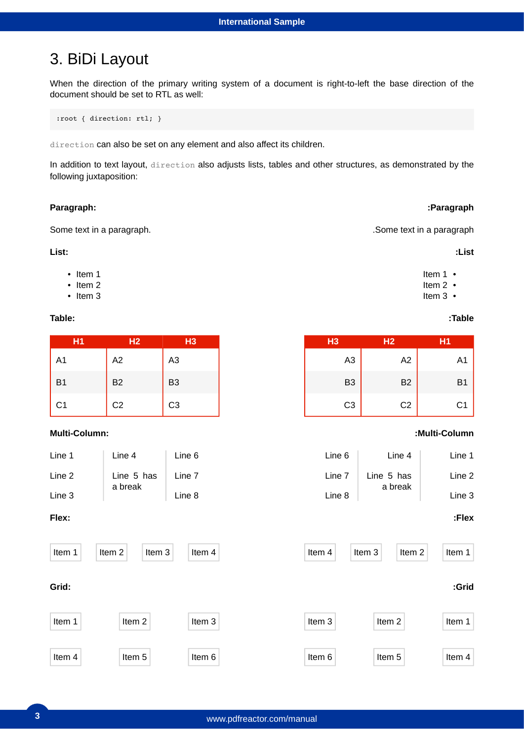## 3. BiDi Layout

When the direction of the primary writing system of a document is right-to-left the base direction of the document should be set to RTL as well:

:root { direction: rtl; }

direction can also be set on any element and also affect its children.

In addition to text layout, direction also adjusts lists, tables and other structures, as demonstrated by the following juxtaposition:

#### **Paragraph:**

Some text in a paragraph.

#### **List:**

- Item 1
- Item 2
- Item 3

#### **Table:**

| H <sub>1</sub> | H <sub>2</sub> | H <sub>3</sub> |
|----------------|----------------|----------------|
| A1             | A2             | A <sub>3</sub> |
| <b>B1</b>      | <b>B2</b>      | B <sub>3</sub> |
| C1             | C <sub>2</sub> | C <sub>3</sub> |

### **Multi-Column:**

| Line 1 | Line 4     | Line 6 |
|--------|------------|--------|
| Line 2 | Line 5 has | Line 7 |
| Line 3 | a break    | Line 8 |

#### **Flex:**



**:Paragraph**

.Some text in a paragraph

#### **:List**

- Item 1
- Item 2
- Item 3

#### **:Table**

| H <sub>3</sub> | H <sub>2</sub> | H1        |  |
|----------------|----------------|-----------|--|
| A <sub>3</sub> | A2             | A1        |  |
| B <sub>3</sub> | <b>B2</b>      | <b>B1</b> |  |
| C <sub>3</sub> | C <sub>2</sub> | C1        |  |

### **:Multi-Column**

| Line 6 | Line 4     | Line 1 |
|--------|------------|--------|
| Line 7 | Line 5 has | Line 2 |
| Line 8 | a break    | Line 3 |

### **:Flex**

**:Grid**

Item 1

Item 4

| m 2 | Item 3 | Item 3 | Item 2 |
|-----|--------|--------|--------|
| m 5 | Item 6 | Item 6 | Item 5 |
|     |        |        |        |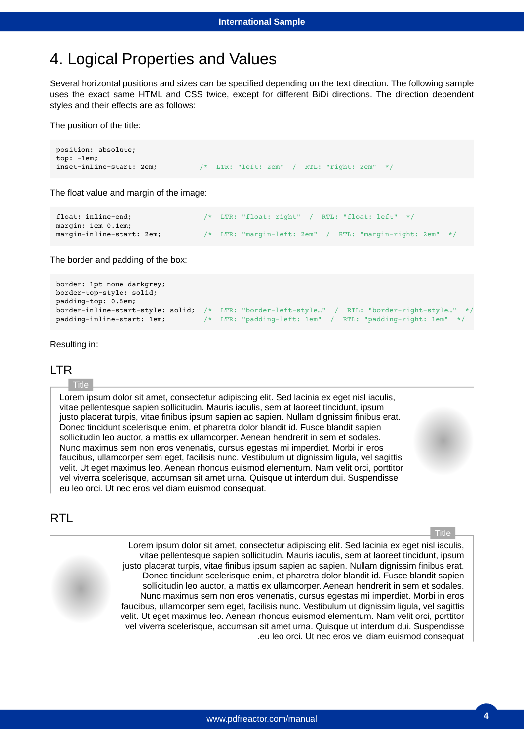## 4. Logical Properties and Values

Several horizontal positions and sizes can be specified depending on the text direction. The following sample uses the exact same HTML and CSS twice, except for different BiDi directions. The direction dependent styles and their effects are as follows:

The position of the title:

```
position: absolute;
top: -1em;
inset-inline-start: 2em; /* LTR: "left: 2em" / RTL: "right: 2em" */
```
The float value and margin of the image:

```
float: inline-end; /* LTR: "float: right" / RTL: "float: left" */
margin: 1em 0.1em;
margin-inline-start: 2em; /* LTR: "margin-left: 2em" / RTL: "margin-right: 2em" */
```
The border and padding of the box:

```
border: 1pt none darkgrey;
border-top-style: solid;
padding-top: 0.5em;
border-inline-start-style: solid; /* LTR: "border-left-style…" / RTL: "border-right-style…" */
padding-inline-start: 1em; /* LTR: "padding-left: 1em" / RTL: "padding-right: 1em" */
```
Resulting in:

#### LTR

#### Title

Lorem ipsum dolor sit amet, consectetur adipiscing elit. Sed lacinia ex eget nisl iaculis, vitae pellentesque sapien sollicitudin. Mauris iaculis, sem at laoreet tincidunt, ipsum justo placerat turpis, vitae finibus ipsum sapien ac sapien. Nullam dignissim finibus erat. Donec tincidunt scelerisque enim, et pharetra dolor blandit id. Fusce blandit sapien sollicitudin leo auctor, a mattis ex ullamcorper. Aenean hendrerit in sem et sodales. Nunc maximus sem non eros venenatis, cursus egestas mi imperdiet. Morbi in eros faucibus, ullamcorper sem eget, facilisis nunc. Vestibulum ut dignissim ligula, vel sagittis velit. Ut eget maximus leo. Aenean rhoncus euismod elementum. Nam velit orci, porttitor vel viverra scelerisque, accumsan sit amet urna. Quisque ut interdum dui. Suspendisse eu leo orci. Ut nec eros vel diam euismod consequat.

### RTL

**Title** 

Lorem ipsum dolor sit amet, consectetur adipiscing elit. Sed lacinia ex eget nisl iaculis, vitae pellentesque sapien sollicitudin. Mauris iaculis, sem at laoreet tincidunt, ipsum justo placerat turpis, vitae finibus ipsum sapien ac sapien. Nullam dignissim finibus erat. Donec tincidunt scelerisque enim, et pharetra dolor blandit id. Fusce blandit sapien sollicitudin leo auctor, a mattis ex ullamcorper. Aenean hendrerit in sem et sodales. Nunc maximus sem non eros venenatis, cursus egestas mi imperdiet. Morbi in eros faucibus, ullamcorper sem eget, facilisis nunc. Vestibulum ut dignissim ligula, vel sagittis velit. Ut eget maximus leo. Aenean rhoncus euismod elementum. Nam velit orci, porttitor vel viverra scelerisque, accumsan sit amet urna. Quisque ut interdum dui. Suspendisse .eu leo orci. Ut nec eros vel diam euismod consequat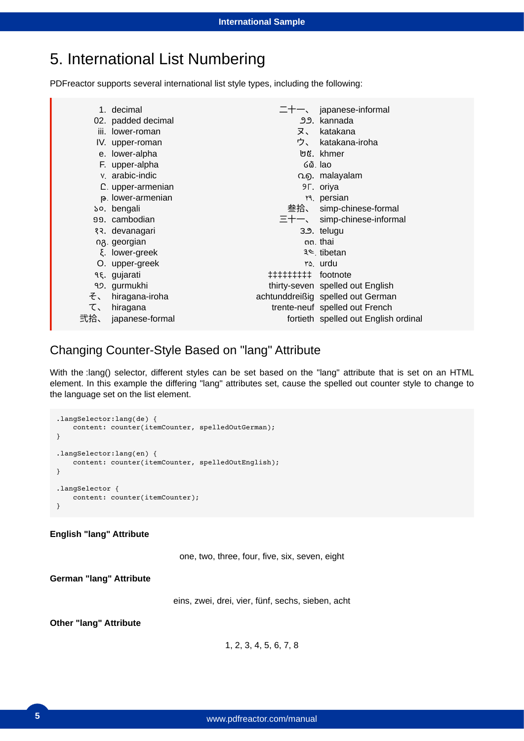## 5. International List Numbering

PDFreactor supports several international list style types, including the following:

|     | 1. decimal                |    | $\pm + -$ , japanese-informal        |
|-----|---------------------------|----|--------------------------------------|
|     | 02. padded decimal        |    | ೨೨. kannada                          |
|     | iii. lower-roman          | ヌ、 | katakana                             |
|     | IV. upper-roman           |    | ウ、 katakana-iroha                    |
|     | e. lower-alpha            |    | ២៥. khmer                            |
|     | F. upper-alpha            |    | $60.$ lao                            |
|     | v. arabic-indic           |    | Ω <sub>9</sub> . malayalam           |
|     | C. upper-armenian         |    | <b>9F.</b> oriya                     |
|     | p. lower-armenian         |    | <b>r</b> <sup>4</sup> . persian      |
|     | so. bengali               |    | 叁拾、 simp-chinese-formal              |
|     | 99. cambodian             |    | $\equiv$ + $-$ simp-chinese-informal |
|     | १२. devanagari            |    | 3.9. telugu                          |
|     | n <sub>8</sub> . georgian |    | nn. thai                             |
|     | ξ. lower-greek            |    | ३ ve. tibetan                        |
|     | O. upper-greek            |    | ۳۵. urdu                             |
|     | 9ξ. gujarati              |    |                                      |
|     | 92. gurmukhi              |    | thirty-seven spelled out English     |
| そ、  | hiragana-iroha            |    | achtunddreißig spelled out German    |
| て、  | hiragana                  |    | trente-neuf spelled out French       |
| 弐拾、 | japanese-formal           |    | fortieth spelled out English ordinal |

## Changing Counter-Style Based on "lang" Attribute

With the :lang() selector, different styles can be set based on the "lang" attribute that is set on an HTML element. In this example the differing "lang" attributes set, cause the spelled out counter style to change to the language set on the list element.

```
.langSelector:lang(de) {
    content: counter(itemCounter, spelledOutGerman);
}
.langSelector:lang(en) {
    content: counter(itemCounter, spelledOutEnglish);
}
.langSelector {
    content: counter(itemCounter);
}
```
### **English "lang" Attribute**

one, two, three, four, five, six, seven, eight

**German "lang" Attribute**

eins, zwei, drei, vier, fünf, sechs, sieben, acht

**Other "lang" Attribute**

1, 2, 3, 4, 5, 6, 7, 8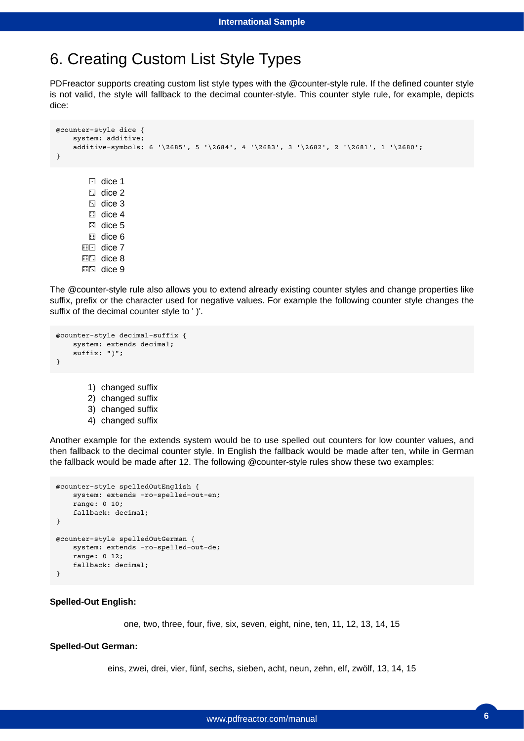## 6. Creating Custom List Style Types

PDFreactor supports creating custom list style types with the @counter-style rule. If the defined counter style is not valid, the style will fallback to the decimal counter-style. This counter style rule, for example, depicts dice:

```
⚀
dice 1
        ⚁
dice 2
        ⚂
dice 3
        ⚃
dice 4
        ⚄
dice 5
        ⚅
dice 6
      ⚅⚀
dice 7
      ⚅⚁
dice 8
      ⚅⚂
dice 9
@counter-style dice {
    system: additive;
    additive-symbols: 6 '\2685', 5 '\2684', 4 '\2683', 3 '\2682', 2 '\2681', 1 '\2680';
}
```
The @counter-style rule also allows you to extend already existing counter styles and change properties like suffix, prefix or the character used for negative values. For example the following counter style changes the suffix of the decimal counter style to ' )'.

```
@counter-style decimal-suffix {
    system: extends decimal;
    suffix: ")";
}
```

```
1)
changed suffix
```

```
2)
changed suffix
```

```
3)
changed suffix
```
4) changed suffix

Another example for the extends system would be to use spelled out counters for low counter values, and then fallback to the decimal counter style. In English the fallback would be made after ten, while in German the fallback would be made after 12. The following @counter-style rules show these two examples:

```
@counter-style spelledOutEnglish {
    system: extends -ro-spelled-out-en;
    range: 0 10;
    fallback: decimal;
}
@counter-style spelledOutGerman {
    system: extends -ro-spelled-out-de;
    range: 0 12;
    fallback: decimal;
}
```
#### **Spelled-Out English:**

one, two, three, four, five, six, seven, eight, nine, ten, 11, 12, 13, 14, 15

#### **Spelled-Out German:**

eins, zwei, drei, vier, fünf, sechs, sieben, acht, neun, zehn, elf, zwölf, 13, 14, 15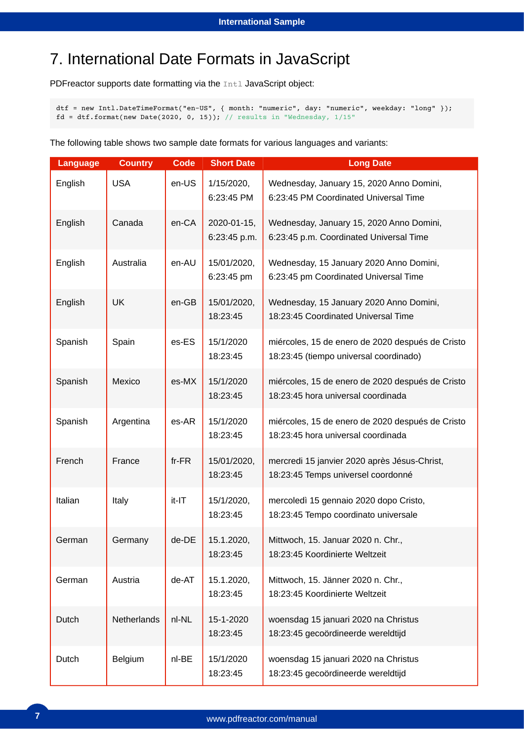# 7. International Date Formats in JavaScript

PDFreactor supports date formatting via the Intl JavaScript object:

dtf = new Intl.DateTimeFormat("en-US", { month: "numeric", day: "numeric", weekday: "long" });  $fd = df.format(new Date(2020, 0, 15)); // results in "Wednesday,  $1/15"$ "$ 

The following table shows two sample date formats for various languages and variants:

| <b>Language</b> | <b>Country</b> | <b>Code</b> | <b>Short Date</b>           | <b>Long Date</b>                                                                           |
|-----------------|----------------|-------------|-----------------------------|--------------------------------------------------------------------------------------------|
| English         | <b>USA</b>     | en-US       | 1/15/2020,<br>6:23:45 PM    | Wednesday, January 15, 2020 Anno Domini,<br>6:23:45 PM Coordinated Universal Time          |
| English         | Canada         | en-CA       | 2020-01-15,<br>6:23:45 p.m. | Wednesday, January 15, 2020 Anno Domini,<br>6:23:45 p.m. Coordinated Universal Time        |
| English         | Australia      | en-AU       | 15/01/2020,<br>6:23:45 pm   | Wednesday, 15 January 2020 Anno Domini,<br>6:23:45 pm Coordinated Universal Time           |
| English         | <b>UK</b>      | en-GB       | 15/01/2020,<br>18:23:45     | Wednesday, 15 January 2020 Anno Domini,<br>18:23:45 Coordinated Universal Time             |
| Spanish         | Spain          | es-ES       | 15/1/2020<br>18:23:45       | miércoles, 15 de enero de 2020 después de Cristo<br>18:23:45 (tiempo universal coordinado) |
| Spanish         | Mexico         | es-MX       | 15/1/2020<br>18:23:45       | miércoles, 15 de enero de 2020 después de Cristo<br>18:23:45 hora universal coordinada     |
| Spanish         | Argentina      | es-AR       | 15/1/2020<br>18:23:45       | miércoles, 15 de enero de 2020 después de Cristo<br>18:23:45 hora universal coordinada     |
| French          | France         | $fr-FR$     | 15/01/2020,<br>18:23:45     | mercredi 15 janvier 2020 après Jésus-Christ,<br>18:23:45 Temps universel coordonné         |
| Italian         | Italy          | it-IT       | 15/1/2020,<br>18:23:45      | mercoledì 15 gennaio 2020 dopo Cristo,<br>18:23:45 Tempo coordinato universale             |
| German          | Germany        | de-DE       | 15.1.2020,<br>18:23:45      | Mittwoch, 15. Januar 2020 n. Chr.,<br>18:23:45 Koordinierte Weltzeit                       |
| German          | Austria        | de-AT       | 15.1.2020,<br>18:23:45      | Mittwoch, 15. Jänner 2020 n. Chr.,<br>18:23:45 Koordinierte Weltzeit                       |
| Dutch           | Netherlands    | nl-NL       | 15-1-2020<br>18:23:45       | woensdag 15 januari 2020 na Christus<br>18:23:45 gecoördineerde wereldtijd                 |
| Dutch           | Belgium        | nl-BE       | 15/1/2020<br>18:23:45       | woensdag 15 januari 2020 na Christus<br>18:23:45 gecoördineerde wereldtijd                 |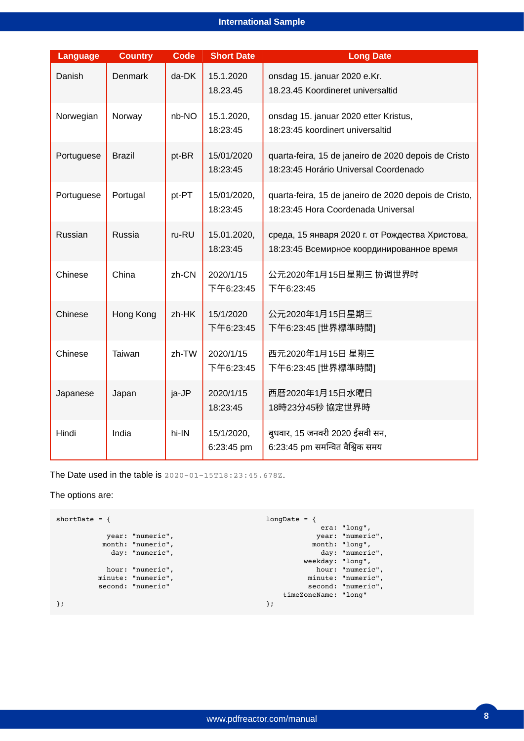### **International Sample**

| Language   | <b>Country</b> | <b>Code</b> | <b>Short Date</b>        | <b>Long Date</b>                                                                              |
|------------|----------------|-------------|--------------------------|-----------------------------------------------------------------------------------------------|
| Danish     | <b>Denmark</b> | da-DK       | 15.1.2020<br>18.23.45    | onsdag 15. januar 2020 e.Kr.<br>18.23.45 Koordineret universaltid                             |
| Norwegian  | Norway         | nb-NO       | 15.1.2020,<br>18:23:45   | onsdag 15. januar 2020 etter Kristus,<br>18:23:45 koordinert universaltid                     |
| Portuguese | <b>Brazil</b>  | pt-BR       | 15/01/2020<br>18:23:45   | quarta-feira, 15 de janeiro de 2020 depois de Cristo<br>18:23:45 Horário Universal Coordenado |
| Portuguese | Portugal       | pt-PT       | 15/01/2020,<br>18:23:45  | quarta-feira, 15 de janeiro de 2020 depois de Cristo,<br>18:23:45 Hora Coordenada Universal   |
| Russian    | Russia         | ru-RU       | 15.01.2020,<br>18:23:45  | среда, 15 января 2020 г. от Рождества Христова,<br>18:23:45 Всемирное координированное время  |
| Chinese    | China          | zh-CN       | 2020/1/15<br>下午6:23:45   | 公元2020年1月15日星期三 协调世界时<br>下午6:23:45                                                            |
| Chinese    | Hong Kong      | zh-HK       | 15/1/2020<br>下午6:23:45   | 公元2020年1月15日星期三<br>下午6:23:45 [世界標準時間]                                                         |
| Chinese    | Taiwan         | zh-TW       | 2020/1/15<br>下午6:23:45   | 西元2020年1月15日 星期三<br>下午6:23:45 [世界標準時間]                                                        |
| Japanese   | Japan          | ja-JP       | 2020/1/15<br>18:23:45    | 西暦2020年1月15日水曜日<br>18時23分45秒 協定世界時                                                            |
| Hindi      | India          | hi-IN       | 15/1/2020,<br>6:23:45 pm | बुधवार, 15 जनवरी 2020 ईसवी सन,<br>6:23:45 pm समन्वित वैश्विक समय                              |

The Date used in the table is  $2020 - 01 - 15T18:23:45.678Z$ .

The options are:

```
shortDate = \{ year: "numeric",
 month: "numeric",
 day: "numeric",
         hour: "numeric",
 minute: "numeric",
 second: "numeric"
};
                                     longDate = \{ era: "long",
                                      year: "numeric",
                                      month: "long",
                                      day: "numeric",
                                      weekday: "long",
                                               hour: "numeric",
                                      minute: "numeric",
                                      second: "numeric",
                                         timeZoneName: "long"
                                     };
```